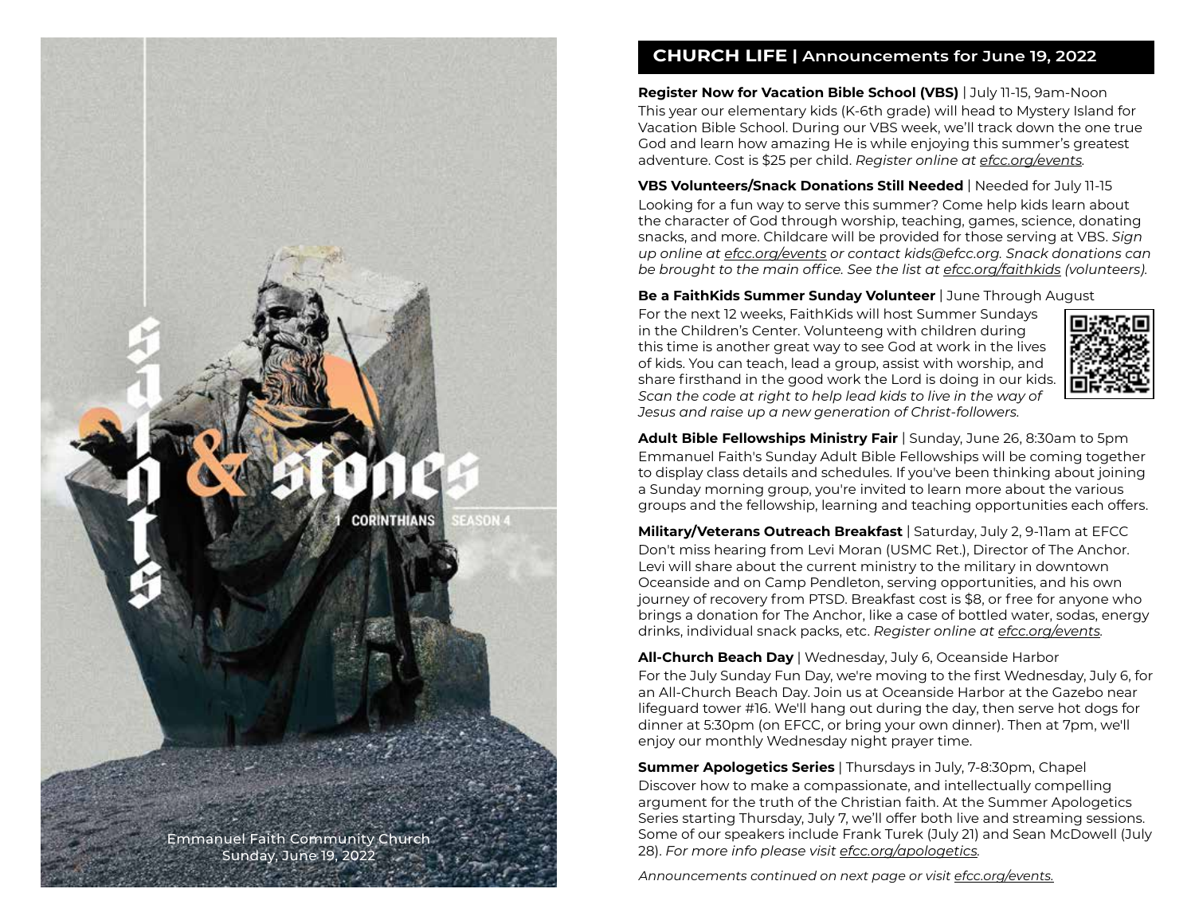

### **CHURCH LIFE | Announcements for June 19, 2022**

**Register Now for Vacation Bible School (VBS)** | July 11-15, 9am-Noon This year our elementary kids (K-6th grade) will head to Mystery Island for Vacation Bible School. During our VBS week, we'll track down the one true God and learn how amazing He is while enjoying this summer's greatest adventure. Cost is \$25 per child. *Register online at efcc.org/events.*

**VBS Volunteers/Snack Donations Still Needed** | Needed for July 11-15 Looking for a fun way to serve this summer? Come help kids learn about the character of God through worship, teaching, games, science, donating snacks, and more. Childcare will be provided for those serving at VBS. *Sign up online at efcc.org/events or contact [kids@efcc.org. Sn](mailto:kids@efcc.org)ack donations can be brought to the main office. See the list at efcc.org/faithkids (volunteers).*

**Be a FaithKids Summer Sunday Volunteer** | June Through August

For the next 12 weeks, FaithKids will host Summer Sundays in the Children's Center. Volunteeng with children during this time is another great way to see God at work in the lives of kids. You can teach, lead a group, assist with worship, and share firsthand in the good work the Lord is doing in our kids. *Scan the code at right to help lead kids to live in the way of Jesus and raise up a new generation of Christ-followers.*



**Adult Bible Fellowships Ministry Fair** | Sunday, June 26, 8:30am to 5pm Emmanuel Faith's Sunday Adult Bible Fellowships will be coming together to display class details and schedules. If you've been thinking about joining a Sunday morning group, you're invited to learn more about the various groups and the fellowship, learning and teaching opportunities each offers.

**Military/Veterans Outreach Breakfast** | Saturday, July 2, 9-11am at EFCC Don't miss hearing from Levi Moran (USMC Ret.), Director of The Anchor. Levi will share about the current ministry to the military in downtown Oceanside and on Camp Pendleton, serving opportunities, and his own journey of recovery from PTSD. Breakfast cost is \$8, or free for anyone who brings a donation for The Anchor, like a case of bottled water, sodas, energy drinks, individual snack packs, etc. *Register online at efcc.org/events.*

**All-Church Beach Day** | Wednesday, July 6, Oceanside Harbor For the July Sunday Fun Day, we're moving to the first Wednesday, July 6, for an All-Church Beach Day. Join us at Oceanside Harbor at the Gazebo near lifeguard tower #16. We'll hang out during the day, then serve hot dogs for dinner at 5:30pm (on EFCC, or bring your own dinner). Then at 7pm, we'll enjoy our monthly Wednesday night prayer time.

**Summer Apologetics Series** | Thursdays in July, 7-8:30pm, Chapel Discover how to make a compassionate, and intellectually compelling argument for the truth of the Christian faith. At the Summer Apologetics Series starting Thursday, July 7, we'll offer both live and streaming sessions. Some of our speakers include Frank Turek (July 21) and Sean McDowell (July 28). *For more info please visit efcc.org/apologetics.*

*Announcements continued on next page or visit efcc.org/events.*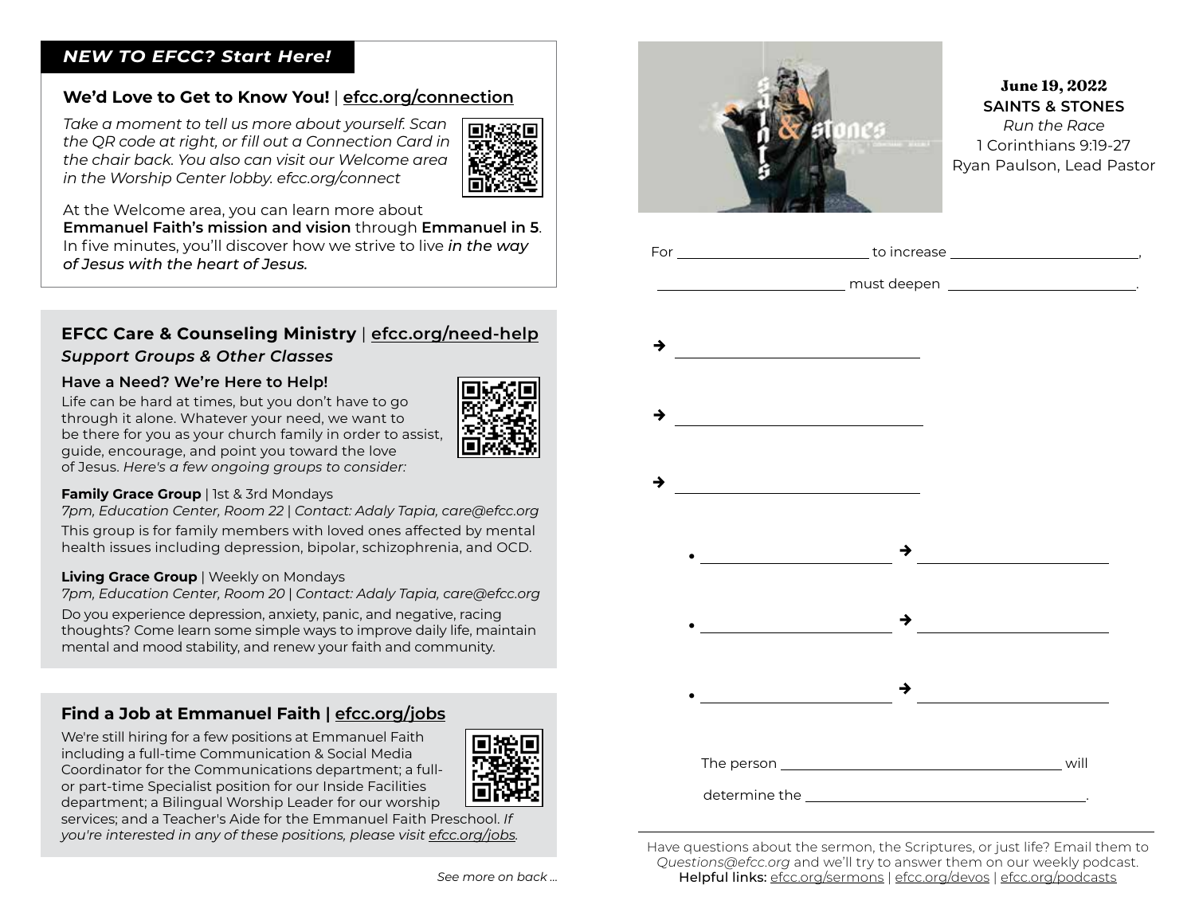#### *NEW TO EFCC? Start Here!*

## **We'd Love to Get to Know You!** | **efcc.org/connection**

*Take a moment to tell us more about yourself. Scan the QR code at right, or fill out a Connection Card in the chair back. You also can visit our Welcome area in the Worship Center lobby. efcc.org/connect*



At the Welcome area, you can learn more about

**Emmanuel Faith's mission and vision** through **Emmanuel in 5**. In five minutes, you'll discover how we strive to live *in the way of Jesus with the heart of Jesus.*

# **EFCC Care & Counseling Ministry** | **efcc.org/need-help** *Support Groups & Other Classes*

#### **Have a Need? We're Here to Help!**

Life can be hard at times, but you don't have to go through it alone. Whatever your need, we want to be there for you as your church family in order to assist, guide, encourage, and point you toward the love of Jesus. *Here's a few ongoing groups to consider:*



*7pm, Education Center, Room 22* | *Contact: Adaly Tapia, [care@efcc.org](mailto:care@efcc.org)*

This group is for family members with loved ones affected by mental health issues including depression, bipolar, schizophrenia, and OCD.

#### **Living Grace Group** | Weekly on Mondays

*7pm, Education Center, Room 20* | *Contact: Adaly Tapia, [care@efcc.org](mailto:care@efcc.org)*

Do you experience depression, anxiety, panic, and negative, racing thoughts? Come learn some simple ways to improve daily life, maintain mental and mood stability, and renew your faith and community.

## **Find a Job at Emmanuel Faith | efcc.org/jobs**

We're still hiring for a few positions at Emmanuel Faith including a full-time Communication & Social Media Coordinator for the Communications department; a fullor part-time Specialist position for our Inside Facilities department; a Bilingual Worship Leader for our worship



services; and a Teacher's Aide for the Emmanuel Faith Preschool. *If you're interested in any of these positions, please visit efcc.org/jobs.*



#### June 19, 2022 **SAINTS & STONES** *Run the Race* 1 Corinthians 9:19-27 Ryan Paulson, Lead Pastor



Have questions about the sermon, the Scriptures, or just life? Email them to *[Questions@efcc.org](mailto:Questions@efcc.org)* and we'll try to answer them on our weekly podcast. Helpful links: efcc.org/sermons | efcc.org/devos | efcc.org/podcasts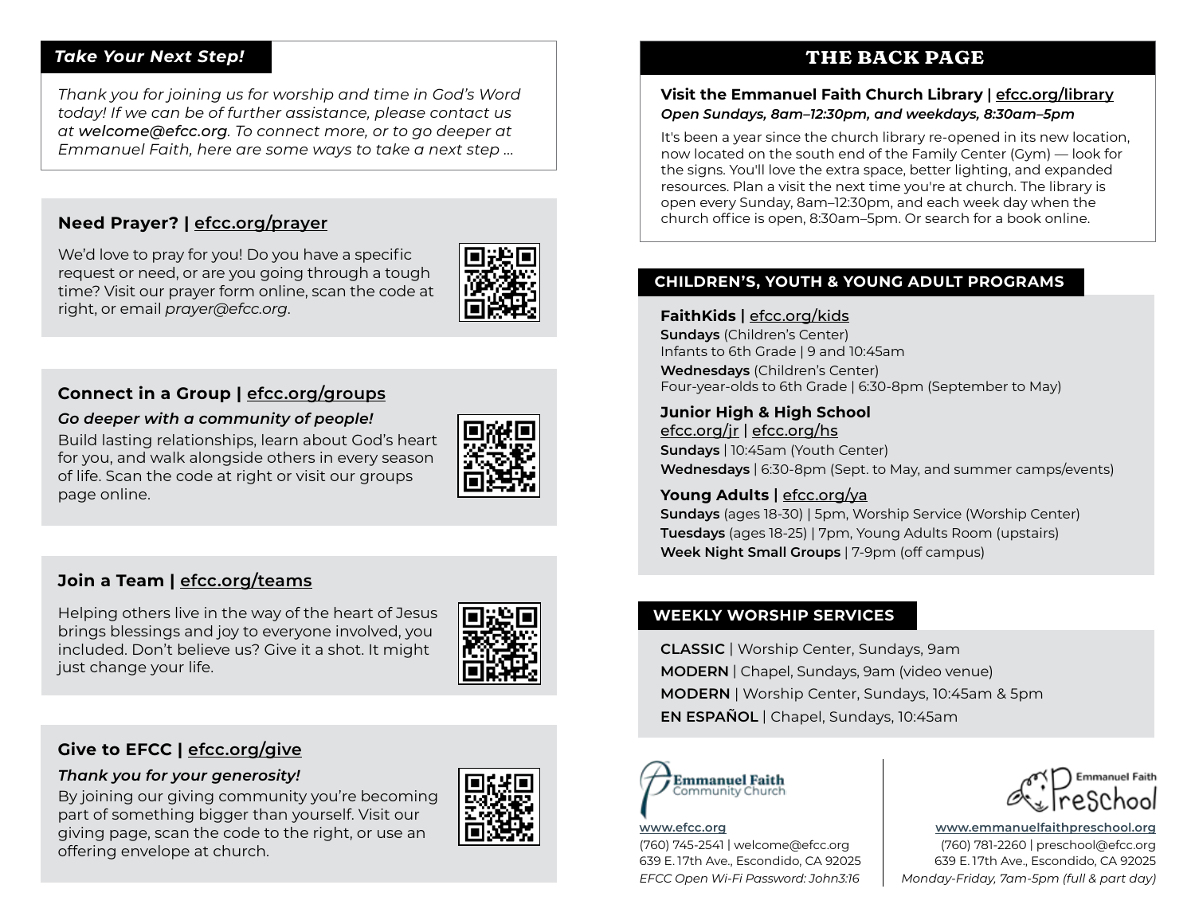#### *Take Your Next Step!*

*Thank you for joining us for worship and time in God's Word today! If we can be of further assistance, please contact us at [welcome@efcc.org](mailto:welcome@efcc.org). To connect more, or to go deeper at Emmanuel Faith, here are some ways to take a next step ...*

### **Need Prayer? | efcc.org/prayer**

We'd love to pray for you! Do you have a specific request or need, or are you going through a tough time? Visit our prayer form online, scan the code at right, or email *[prayer@efcc.org](mailto:prayer@efcc.org)*.



#### **Connect in a Group | efcc.org/groups**

#### *Go deeper with a community of people!*

Build lasting relationships, learn about God's heart for you, and walk alongside others in every season of life. Scan the code at right or visit our groups page online.



### **Join a Team | efcc.org/teams**

Helping others live in the way of the heart of Jesus brings blessings and joy to everyone involved, you included. Don't believe us? Give it a shot. It might just change your life.



# **Give to EFCC | efcc.org/give**

#### *Thank you for your generosity!*

By joining our giving community you're becoming part of something bigger than yourself. Visit our giving page, scan the code to the right, or use an offering envelope at church.



# **THE BACK PAGE**

#### **Visit the Emmanuel Faith Church Library | efcc.org/library** *Open Sundays, 8am–12:30pm, and weekdays, 8:30am–5pm*

It's been a year since the church library re-opened in its new location, now located on the south end of the Family Center (Gym) — look for the signs. You'll love the extra space, better lighting, and expanded resources. Plan a visit the next time you're at church. The library is open every Sunday, 8am–12:30pm, and each week day when the church office is open, 8:30am–5pm. Or search for a book online.

#### **CHILDREN'S, YOUTH & YOUNG ADULT PROGRAMS**

#### **FaithKids |** efcc.org/kids

**Sundays** (Children's Center) Infants to 6th Grade | 9 and 10:45am

**Wednesdays** (Children's Center) Four-year-olds to 6th Grade | 6:30-8pm (September to May)

#### **Junior High & High School**

efcc.org/jr | efcc.org/hs **Sundays** | 10:45am (Youth Center) **Wednesdays** | 6:30-8pm (Sept. to May, and summer camps/events)

#### Young Adults | efcc.org/ya

**Sundays** (ages 18-30) | 5pm, Worship Service (Worship Center) **Tuesdays** (ages 18-25) | 7pm, Young Adults Room (upstairs) **Week Night Small Groups** | 7-9pm (off campus)

### **WEEKLY WORSHIP SERVICES**

**CLASSIC** | Worship Center, Sundays, 9am **MODERN** | Chapel, Sundays, 9am (video venue) **MODERN** | Worship Center, Sundays, 10:45am & 5pm **EN ESPAÑOL** | Chapel, Sundays, 10:45am



#### **[www.efcc.org](http://www.efcc.org)**

(760) 745-2541 | [welcome@efcc.org](mailto:welcome@efcc.org) 639 E. 17th Ave., Escondido, CA 92025 *EFCC Open Wi-Fi Password: John3:16*



**[www.emmanuelfaithpreschool.org](http://www.emmanuelfaithpreschool.org)** (760) 781-2260 | [preschool@efcc.org](mailto:preschool@efcc.org) 639 E. 17th Ave., Escondido, CA 92025 *Monday-Friday, 7am-5pm (full & part day)*